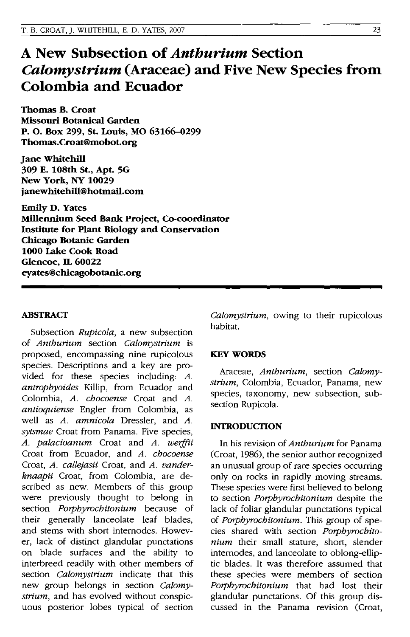# **A New Subsection of** *Anthurium* **Section**  *Calomystrium* **(Araceae) and Five New Species from Colombia and Ecuador**

Thomas B. Croat Missouri Botanical Garden P. O. Box 299, St. Louis, MO 63166-0299 Thomas.Croat@mobot.org

Jane Whitehill 309 E. 108th St., Apt. 5G New York, NY 10029 janewhitehill@hotmail.com

Emily D. Yates Millennium Seed Bank Project, Co·coordinator Institute for Plant Biology and Conservation Chicago Botanic Garden 1000 Lake Cook Road Glencoe, IL 60022 eyates@chicagobotanic.org

## ABSTRACT

Subsection *Rupicola,* a new subsection of *Anthurium* section *Calomystrium* is proposed, encompassing nine rupicolous species. Descriptions and a key are provided for these species including: *A. antrophyoides* Killip, from Ecuador and Colombia, *A. chocoense* Croat and *A. antioquiense* Engler from Colombia, as well as *A. amnicola* Dressler, and *A. sytsmae* Croat from Panama. Five species, *A. palacioanum* Croat and *A. weiffii*  Croat from Ecuador, and *A. chocoense*  Croat, *A. callejasii* Croat, and *A. vanderknaapii* Croat, from Colombia, are described as new. Members of this group were previously thought to belong in section *Porphyrochitonium* because of their generally lanceolate leaf blades, and stems with short internodes. However, lack of distinct glandular punctations on blade surfaces and the ability to interbreed readily with other members of section *Calomystrium* indicate that this new group belongs in section *Calomystrium,* and has evolved without conspicuous posterior lobes typical of section

*Calomystrium,* owing to their rupicolous habitat.

## **KEY WORDS**

Araceae, *Anthurium,* section *Calomystrium,* Colombia, Ecuador, Panama, new species, taxonomy, new subsection, subsection Rupicola.

## INTRODUCTION

In his revision of *Anthurium* for Panama (Croat, 1986), the senior author recognized an unusual group of rare species occurring only on rocks in rapidly moving streams. These species were first believed to belong to section *Porphyrochitonium* despite the lack of foliar glandular punctations typical of *Porphyrochitonium.* This group of species shared with section *Porphyrochitonium* their small stature, short, slender internodes, and lanceolate to oblong-elliptic blades. It was therefore assumed that these species were members of section *Porphyrochitonium* that had lost their glandular punctations. Of this group discussed in the Panama revision (Croat,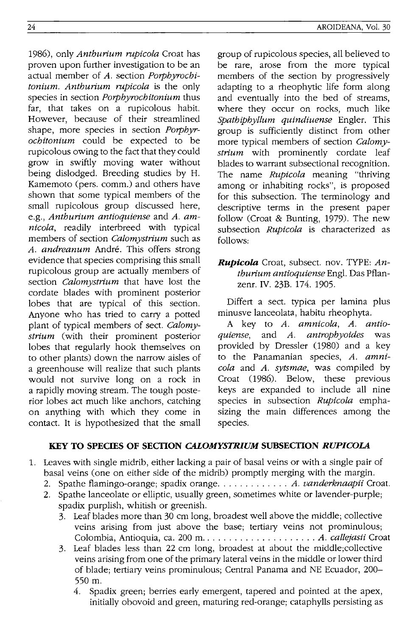1986), only *Anthurium rupicola* Croat has proven upon further investigation to be an actual member of *A.* section *Porphyrochitonium. Anthurium rupicola* is the only species in section *Porphyrochitonium* thus far, that takes on a rupicolous habit. However, because of their streamlined shape, more species in section *Porphyrochitonium* could be expected to be rupicolous owing to the fact that they could grow in swiftly moving water without being dislodged. Breeding studies by H. Kamemoto (pers. comm.) and others have shown that some typical members of the small rupicolous group discussed here, e.g., *Anthurium antioquiense* and *A. amnicola,* readily interbreed with typical members of section *Calomystrium* such as *A. andreanum* Andre. This offers strong evidence that species comprising this small rupicolous group are actually members of section *Calomystrium* that have lost the cordate blades with prominent posterior lobes that are typical of this section. Anyone who has tried to carry a potted plant of typical members of sect. *Calomystrium* (with their prominent posterior lobes that regularly hook themselves on to other plants) down the narrow aisles of a greenhouse will realize that such plants would not survive long on a rock in a rapidly moving stream. The tough posterior lobes act much like anchors, catching on anything with which they come in contact. It is hypothesized that the small

AROIDEANA, Vol. 30

group of rupicolous species, all believed to be rare, arose from the more typical members of the section by progressively adapting to a rheophytic life form along and eventually into the bed of streams, where they occur on rocks, much like *Spathiphyllum quindiuense* Engler. This group is sufficiently distinct from other more typical members of section *Calomystrium* with prominently cordate leaf blades to warrant subsectional recognition. The name *Rupicoia* meaning "thriving among or inhabiting rocks", is proposed for this subsection. The terminology and descriptive terms in the present paper follow (Croat & Bunting, 1979). The new subsection *Rupicola* is characterized as follows:

*RuPicoia* Croat, subsect. nov. TYPE: *Anthurium antioquiense* Eng!. Das Pflanzenr. IV. 23B. 174. 1905.

Differt a sect. typica per lamina plus minusve lanceolata, habitu rheophyta.

A key to *A. amnicola, A. antioquiense,* and *A. antrophyoides* was provided by Dressler (1980) and a key to the Panamanian species, *A. amnicola* and *A. sytsmae,* was compiled by Croat (1986). Below, these previous keys are expanded to include all nine species in subsection *Rupicola* emphasizing the main differences among the species.

# **KEY TO SPECmS OF SECTION** *CALOMYSTRIUM* **SUBSECTION** *RUPICOLA*

- 1. Leaves with single midrib, either lacking a pair of basal veins or with a single pair of basal veins (one on either side of the midrib) promptly merging with the margin.
	- 2. Spathe flamingo-orange; spadix orange. . . . . . . . . . . . . *A. vanderknaapii* Croat.
	- 2. Spathe lanceolate or elliptic, usually green, sometimes white or lavender-purple; spadix purplish, whitish or greenish.
		- 3. Leaf blades more than 30 cm long, broadest well above the middle; collective veins arising from just above the base; tertiary veins not prominulous; Colombia, Antioquia, ca. 200 m ..................... *A. callejasii* Croat
		- 3. Leaf blades less than 22 cm long, broadest at about the middle;collective veins arising from one of the primary lateral veins in the middle or lower third of blade; tertiary veins prominulous; Central Panama and NE Ecuador, 200- 550 m.
			- 4. Spadix green; berries early emergent, tapered and pointed at the apex, initially obovoid and green, maturing red-orange; cataphylls persisting as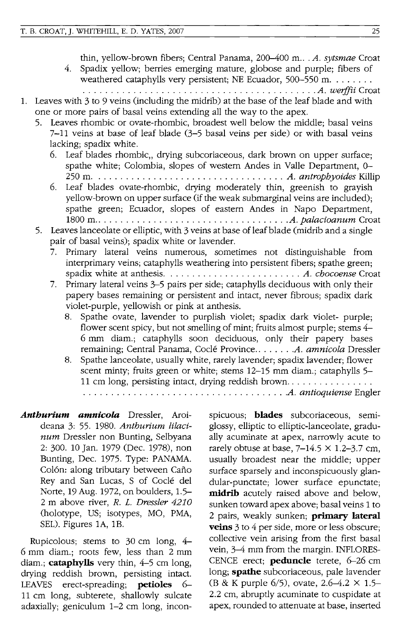thin, yellow-brown fibers; Central Panama, 200-400 m... *A. sytsmae* Croat

- 4. Spadix yellow; berries emerging mature, globose and purple; fibers of weathered cataphylls very persistent; NE Ecuador,  $500-550$  m....... . . . . . . . . . . . . . . . . . . . . . . . . . . . . . . . . . . . . . . . . . . *A. weif.fi.i* Croat
- 1. Leaves with 3 to 9 veins (including the midrib) at the base of the leaf blade and with one or more pairs of basal veins extending all the way to the apex.
	- 5. Leaves rhombic or ovate-rhombic, broadest well below the middle; basal veins 7-11 veins at base of leaf blade (3-5 basal veins per side) or with basal veins lacking; spadix white.
		- 6. Leaf blades rhombic, drying subcoriaceous, dark brown on upper surface; spathe white; Colombia, slopes of western Andes in Valle Department, 0- 250 m. . ................................. *A. antrophyoides* Killip
		- 6. Leaf blades ovate-rhombic, drying moderately thin, greenish to grayish yellow-brown on upper surface (if the weak submarginal veins are included); spathe green; Ecuador, slopes of eastern Andes in Napo Department, 1800 m ................................... *. A. palacioanum* Croat
	- 5. Leaves lanceolate or elliptic, with 3 veins at base of leaf blade (midrib and a single pair of basal veins); spadix white or lavender.
		- 7. Primary lateral veins numerous, sometimes not distinguishable from interprimary veins; cataphylls weathering into persistent fibers; spathe green; spadix white at anthesis. . ....................... *A. chocoense* Croat
		- 7. Primary lateral veins 3-5 pairs per side; cataphylls deciduous with only their papery bases remaining or persistent and intact, never fibrous; spadix dark violet-purple, yellowish or pink at anthesis.
			- 8. Spathe ovate, lavender to purplish violet; spadix dark violet- purple; flower scent spicy, but not smelling of mint; fruits almost purple; stems 4- 6 mm diam.; cataphylls soon deciduous, only their papery bases remaining; Central Panama, Cocle Province ....... .A. *amnicola* Dressler
			- 8. Spathe lanceolate, usually white, rarely lavender; spadix lavender; flower scent minty; fruits green or white; stems 12-15 mm diam.; cataphylls 5- 11 cm long, persisting intact, drying reddish brown. . . . . . . . . . . . . . . . . . . . . . . . . . . . . . . . . . . . . . . . . . . . . . . . . . . . . *.A. antioquiense* Engler
- *Anthurium amnicola* Dressler, Aroideana 3: 55. 1980. *Anthurium lilacinum* Dressler non Bunting, Selbyana 2: 300. 10 Jan. 1979 (Dec. 1978), non Bunting, Dec. 1975. Type: PANAMA. Colón: along tributary between Caño Rey and San Lucas, S of Cocle del Norte, 19 Aug. 1972, on boulders, 1.5- 2 m above river, *R.* L. *Dressler 4210*  (holotype, US; isotypes, MO, PMA, SEL). Figures *lA,* lB.

Rupicolous; stems to 30 em long, 4- 6 mm diam.; roots few, less than 2 mm diam.; **cataphylls** very thin, 4-5 cm long, drying reddish brown, persisting intact. LEAVES erect-spreading; **petioles** 6-11 cm long, subterete, shallowly sulcate adaxially; geniculum 1-2 cm long, inconspicuous; **blades** subcoriaceous, semiglossy, elliptic to elliptic-lanceolate, gradually acuminate at apex, narrowly acute to rarely obtuse at base,  $7-14.5 \times 1.2-3.7$  cm, usually broadest near the middle; upper surface sparsely and inconspicuously glandular-punctate; lower surface epunctate; **midrib** acutely raised above and below, sunken toward apex above; basal veins 1 to 2 pairs, weakly sunken; **primary lateral veins** 3 to 4 per side, more or less obscure; collective vein arising from the first basal vein, 3-4 mm from the margin. INFLORES-CENCE erect; **peduncle** terete, 6-26 cm long; **spathe** subcoriaceous, pale lavender (B & K purple 6/5), ovate, 2.6-4.2 X 1.5- 2.2 cm, abruptly acuminate to cuspidate at apex, rounded to attenuate at base, inserted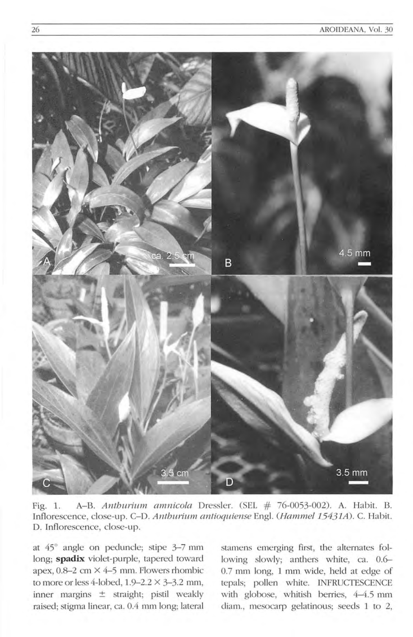

Fig. 1. A-B. Anthurium annicola Dressler. (SEL  $# 76-0053-002$ ). A. Habit. B. Inflorescence, close-up. C-D. Anthurium antioquiense Engl. (Hammel 15431A). C. Habit. D. Inflorescence, close-up.

at 45° angle on peduncle; stipe 3-7 mm long; **spadix** violet-purple, tapered toward apex,  $0.8-2$  cm  $\times$  4-5 mm. Flowers rhombic to more or less 4-lobed,  $1.9-2.2 \times 3-3.2$  mm, inner margins ± straight; pistil weakly raised; stigma linear, ca. 0.4 mm long; lateral stamens emerging first, the alternates following slowly; anthers white, ca. 0.6-0.7 mm long, 1 mm wide, held at edge of tepals; pollen white. INFRUCTESCENCE with globose, whitish berries, 4-4.5 mm diam., mesocarp gelatinous; seeds 1 to 2,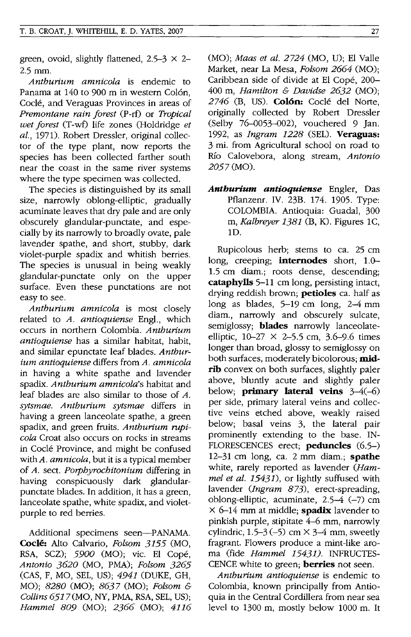green, ovoid, slightly flattened,  $2.5-3 \times 2-$ 2.5 mm.

*Anthurium amnicola* is endemic to Panama at 140 to 900 m in western Colón. Coclé, and Veraguas Provinces in areas of *Premontane rain forest* (P-rt) or *Tropical wet forest* (T-wt) life zones (Holdridge *et al.,* 1971). Robert Dressler, original collector of the type plant, now reports the species has been collected farther south near the coast in the same river systems where the type specimen was collected.

The species is distinguished by its small size, narrowly oblong-elliptic, gradually acuminate leaves that dry pale and are only obscurely glandular-punctate, and especially by its narrowly to broadly ovate, pale lavender spathe, and short, stubby, dark violet-purple spadix and whitish berries. The species is unusual in being weakly glandular-punctate only on the upper surface. Even these punctations are not easy to see.

*Anthurium amnicola* is most dosely related to *A. antioquiense* Engl., which occurs in northern Colombia. *Anthurium antioquiense* has a similar habitat, habit, and similar epunctate leaf blades. *Anthurium antioquiense* differs from *A. amnicola*  in having a white spathe and lavender spadix. *Anthurium amnicola's* habitat and leaf blades are also similar to those of A. *sytsmae. Anthurium sytsmae* differs in having a green lanceolate spathe, a green spadix, and green fruits. *Anthurium rupicola* Croat also occurs on rocks in streams in Code Province, and might be confused with *A. amnicola,* but it is a typical member of *A.* sect. *Porphyrochitonium* differing in having conspicuously dark glandularpunctate blades. In addition, it has a green, lanceolate spathe, white spadix, and violetpurple to red berries.

Additional specimens seen-PANAMA. **Cocle:** Alto Calvario, *Folsom* 3155 (MO, RSA, SCZ); *5900* (MO); vic. El Cope, *Antonio 3620* (MO, PMA); *Folsom 3265*  (CAS, F, MO, SEL, US); 4941 (DUKE, GH, MO); *8280* (MO); 8637 (MO); *Folsom* & *Collins* 6517 (MO, NY, PMA, RSA, SEL, US); *Hammel 809* (MO); 2366 (MO); 4116 (MO); *Maas et al.* 2724 (MO, U); El Valle Market, near La Mesa, *Folsom* 2664 (MO); Caribbean side of divide at El Cope, 200- 400 m, *Hamilton* & *Davidse* 2632 (MO); 2746 (B, US). **Colon:** Code del Norte, originally collected by Robert Dressler (Selby 76-0053-002), vouchered 9 Jan. 1992, as *Ingram* 1228 (SEL). **Veraguas:**  3 mi. from Agricultural school on road to Rio Calovebora, along stream, *Antonio 2057* (MO).

*Anthurium antioquiense* Engler, Das Pflanzenr. IV. 23B. 174. 1905. Type: COLOMBIA. Antioquia: Guadal, 300 m, *Kalbreyer* 1381 (B, K). Figures 1C, 1D.

Rupicolous herb; stems to ca. 25 cm long, creeping; **internodes** short, 1.0- 1.5 cm diam.; roots dense, descending; **cataphylls** 5-11 cm long, persisting intact, drying reddish brown; **petioles** ca. half as long as blades, 5-19 cm long, 2-4 mm diam., narrowly and obscurely sulcate, semiglossy; **blades** narrowly lanceolateelliptic,  $10-27 \times 2-5.5$  cm,  $3.6-9.6$  times longer than broad, glossy to semiglossy on both surfaces, moderately bicolorous; **midrib** convex on both surfaces, slightly paler above, bluntly acute and slightly paler below; **primary lateral veins** 3-4(-6) per side, primary lateral veins and collective veins etched above, weakly raised below; basal veins 3, the lateral pair prominently extending to the base. IN-FLORESCENCES erect; **peduncles** (6.5-) 12-31 cm long, ca. 2 mm diam.; **spathe**  white, rarely reported as lavender *(Hammel et al.* 15431), or lightly suffused with lavender *(Ingram* 873), erect-spreading, oblong-elliptic, acuminate,  $2.5-4$  (-7) cm X 6-14 mm at middle; **spadix** lavender to pinkish purple, stipitate 4-6 mm, narrowly cylindric,  $1.5-3(-5)$  cm  $\times$  3-4 mm, sweetly fragrant. Flowers produce a mint-like aroma (fide *Hammel* 15431). INFRUCTES-CENCE white to green; **berries** not seen.

*Anthurium antioquiense* is endemic to Colombia, known principally from Antioquia in the Central Cordillera from near sea level to 1300 m, mostly below 1000 m. It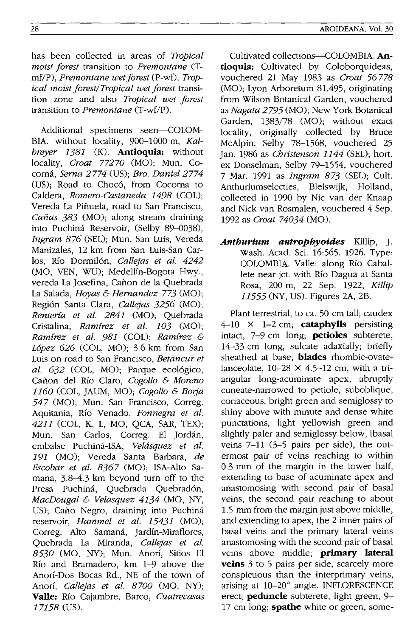has been collected in areas of *Tropical moist forest* transition to *Premontane* (Tmf/P), *Premontane wet forest* (P-wf), *Tropical moist forest/Tropical wet forest* transition zone and also *Tropical wet forest*  transition to *Premontane* (T-wf/P).

Additional specimens seen-COLOM-BIA. without locality, 900-1000 m, *Kalhreyer* 1381 (K). **Antioquia:** without locality, *Croat 77270* (MO); Mun. Cocoma, *Serna* 2774 (US); *Bro. Daniel 2774*  (US); Road to Chocó, from Cocorna to Caldera, *Romero-Castaneda* 1498 (COL); Vereda La Pinuela, road to San Francisco, *Canas* 383 (MO); along stream draining into Puchina Reservoir, (Selby 89-0038), *Ingram* 876 (SEL); Mun. San Luis, Vereda Manizales, 12 km from San Luis-San Carlos, Río Dormilón, *Callejas et al. 4242* (MO, VEN, WU); Medellin-Bogota Hwy., vereda La Josefina, Cañon de la Quebrada La Salada, *HOYas* & *Hernandez* 773 (MO); Region Santa Clara, *Callejas* 3256 (MO); *Renteria et at.* 2841 (MO); Quebrada Cristalina, *Ramirez et al. 103* (MO); *Ramirez et al.* 981 (COL); *Ramirez* & *L6pez* 626 (COL, MO); 3.6 km from San Luis on road to San Francisco, *Betancur et al.* 632 (COL, MO); Parque ecologico, Canon del Rio Claro, *Cogollo* & *Moreno 1160* (COL, JAUM, MO); *Cogollo* & *Borja*  547 (MO); Mun. San Francisco, Correg. Aquitania, Rio Venado, *Fonnegra et al.*  4211 (COL, K, L, MO, QCA, SAR, TEX); Mun. San Carlos, Correg. El Jordan, embalse Puehina-ISA, *Velasquez et al.*  191 (MO); Vereda Santa Barbara, *de Escobar et al.* 8367 (MO); ISA-Alto Samana, 3.8-4.3 km beyond turn off to the Presa Puchiná, Quebrada Quebradón, *MacDougal* & *Velasquez* 4134 (MO, NY, US); Caño Negro, draining into Puchiná reservoir, *Hammel et al.* 15431 (MO); Correg. Alto Samaná, Jardín-Miraflores, Quebrada La Miranda, *Callejas et al.*  8530 (MO, NY); Mun. Anorí, Sitios El Rio and Bramadero, km 1-9 above the Anori-Dos Bocas Rd., NE of the town of Anori, *Callejas et al. 8700* (MO, NY); **Valle:** Rio Cajambre, Barco, *Cuatrecasas*  17158 (US).

AROIDEANA, Vol. 30

vouchered 21 May 1983 as *Croat 56778*  (MO); Lyon Arboretum 81.495, originating from Wilson Botanical Garden, vouchered as *Nagata* 2795 (MO); New York Botanical Garden, 1383/78 (MO); without exact locality, originally collected by Bruce McAlpin, Selby 78-1568, vouchered 25 Jan. 1986 as *Christenson* 1144 (SEL); hort. ex Donselman, Selby 79-1554, vouchered 7 Mar. 1991 as *Ingram* 873 (SEL); Cult. Anthuriumselecties, Bleiswijk, Holland, collected in 1990 by Nic van der Knaap and Nick van Rosmalen, vouchered 4 Sep. 1992 as *Croat 74034* (MO).

*Anthurium antrophyoides* Killip, J. Wash. Acad. Sci. 16:565. 1926. Type: COLOMBIA. Valle: along Rio Caballete near jct. with Río Dagua at Santa Rosa, 200 m, 22 Sep. 1922, *Killip*  11555 (NY, US). Figures 2A, 2B.

Plant terrestrial, to ca. 50 cm tall; caudex 4-10 X 1-2 cm; **cataphylls** persisting intact, 7-9 cm long; **petioles** subterete, 14-33 em long, sulcate adaxially; briefly sheathed at base; **blades** rhombic-ovatelanceolate,  $10-28 \times 4.5-12$  cm, with a triangular long-acuminate apex, abruptly cuneate-narrowed to petiole, suboblique, coriaeeous, bright green and semiglossy to shiny above with minute and dense white punetations, light yellowish green and slightly paler and semiglossy below; [basal veins 7-11 (3-5 pairs per side), the outermost pair of veins reaching to within 0.3 mm of the margin in the lower half, extending to base of acuminate apex and anastomosing with second pair of basal veins, the second pair reaching to about 1.5 mm from the margin just above middle, and extending to apex, the 2 inner pairs of basal veins and the primary lateral veins anastomosing with the second pair of basal veins above middle; **primary lateral veins** 3 to 5 pairs per side, scarcely more conspicuous than the interprimary veins, arising at 10-20° angle. INFLORESCENCE erect; **peduncle** subterete, light green, 9- 17 cm long; **spathe** white or green, some-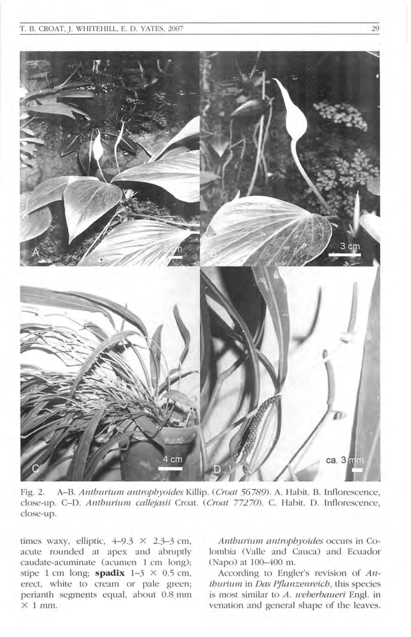

Fig. 2. A-B. Anthurium antrophyoides Killip. (Croat 56789). A. Habit. B. Inflorescence, close-up. C-D. Anthurium callejasii Croat. (Croat 77270). C. Habit. D. Inflorescence, close-up.

times waxy, elliptic,  $4-9.3 \times 2.3-3$  cm, acute rounded at apex and abruptly caudate-acuminate (acumen 1 cm long); stipe 1 cm long; **spadix**  $1-\frac{3}{5} \times 0.5$  cm, erect, white to cream or pale green; perianth segments equal, about 0.8 mm  $\times$  1 mm.

Anthurium antrophyoides occurs in Colombia (Valle and Cauca) and Ecuador (Napo) at 100-400 m.

According to Engler's revision of  $An$ thurium in Das Pflanzenreich, this species is most similar to A. weberbaueri Engl. in venation and general shape of the leaves.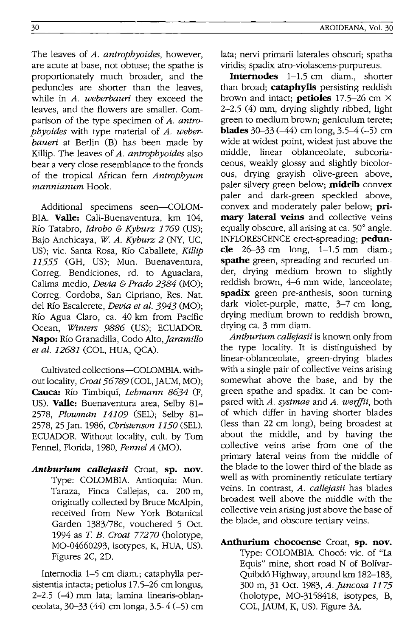The leaves of *A. antrophyoides,* however, are acute at base, not obtuse; the spathe is proportionately much broader, and the peduncles are shorter than the leaves, while in *A. weberbauri* they exceed the leaves, and the flowers are smaller. Comparison of the type specimen of *A. antrophyoides* with type material of *A. weberbaueri* at Berlin (B) has been made by Killip. The leaves of *A. antrophyoides* also bear a very close resemblance to the fronds of the tropical African fern *Antrophyum mannianum* Hook.

Additional specimens seen-COLOM-BIA. **Valle:** Cali-Buenaventura, km 104, Rio Tatabro, *Idrobo* & *Kyburz* 1769 (US); Bajo Anchicaya, *W A. Kyburz* 2 (NY, UC, US); vic. Santa Rosa, Río Caballete, *Killip* 11555 (GH, US); Mun. Buenaventura, Correg. Bendiciones, rd. to Aguaclara, Calima medio, *Devia* & *Prado* 2384 (MO); Correg. Cordoba, San Cipriano, Res. Nat. del Río Escalerete, *Devia et al.* 3943 (MO); Río Agua Claro, ca. 40 km from Pacific Ocean, *Winters* 9886 (US); ECUADOR. **Napo:** RIO Granadilla, Codo *Alto,Jaramillo et al.* 12681 (COL, HUA, QCA).

Cultivated collections-COLOMBIA. without locality, *Croat* 56789 (COL, JAUM, MO); **Cauca:** Rio Timbiqui, *Lehmann* 8634 (F, US). **Valle:** Buenaventura area, Selby 81- *2578, Plowman* 14109 (SEL); Selby 81- 2578, 25 Jan. 1986, *Christenson* 1150 (SEL). ECUADOR. Without locality, cult. by Tom Fennel, Florida, 1980, *Fennel A* (MO).

*Anthurium callejasii* Croat, **sp.** nov. Type: COLOMBIA. Antioquia: Mun. Taraza, Finca Callejas, ca. 200 m, originally collected by Bruce McAlpin, received from New York Botanical Garden 1383/78c, vouchered 5 Oct. 1994 as T. *B. Croat 77270* (holotype, MO-04660293, isotypes, K, HUA, US). Figures 2C, 2D.

Internodia 1-5 cm diam.; cataphylla persistentia intacta; petiolus 17.5-26 cm longus, 2-2.5 (-4) mm lata; lamina linearis-oblanceolata, 30-33 (44) cm longa, 3.5-4 (-5) cm lata; nervi primarii laterales obscuri; spatha viridis; spadix atro-violascens-purpureus.

**Internodes** 1-1.5 cm diam., shorter than broad; **cataphylls** persisting reddish brown and intact; **petioles** 17.5-26 cm X 2-2.5 (4) mm, drying slightly ribbed, light green to medium brown; geniculum terete; **blades**  $30-33$  ( $-44$ ) cm long,  $3.5-4$  ( $-5$ ) cm wide at widest point, widest just above the middle, linear oblanceolate, subcoriaceous, weakly glossy and slightly bicolorous, drying grayish olive-green above, paler silvery green below; **midrib** convex paler and dark-green speckled above, convex and moderately paler below; **primary lateral veins** and collective veins equally obscure, all arising at ca.  $50^{\circ}$  angle. INFLORESCENCE erect-spreading; **peduncle** 26-33 cm long, 1-1.5 mm diam.; **spathe** green, spreading and recurled under, drying medium brown to slightly reddish brown, 4-6 mm wide, lanceolate; **spadix** green pre-anthesis, soon turning dark Violet-purple, matte, 3-7 cm long, drying medium brown to reddish brown, drying ca. 3 mm diam.

*Anthurium callejasii* is known only from the type locality. It is distinguished by linear-oblanceolate, green-drying blades with a single pair of collective veins arising somewhat above the base, and by the green spathe and spadix. It can be compared with *A. systmae* and *A. werffii*, both of which differ in having shorter blades (less than 22 cm long), being broadest at about the middle, and by having the collective veins arise from one of the primary lateral veins from the middle of the blade to the lower third of the blade as well as with prominently reticulate tertiary veins. In contrast, *A. callejasii* has blades broadest well above the middle with the collective vein arising just above the base of the blade, and obscure tertiary veins.

**Anthurium chocoense** Croat, **sp. nov.**  Type: COLOMBIA. Choc6: vic. of "La Equis" mine, short road N of Bolívar-Quibd6 Highway, around km 182-183, 300 m, 31 Oct. 1983, *A.Juncosa* 1175 (holotype, MO-3158418, isotypes, B, COL, JAUM, K, US). Figure 3A.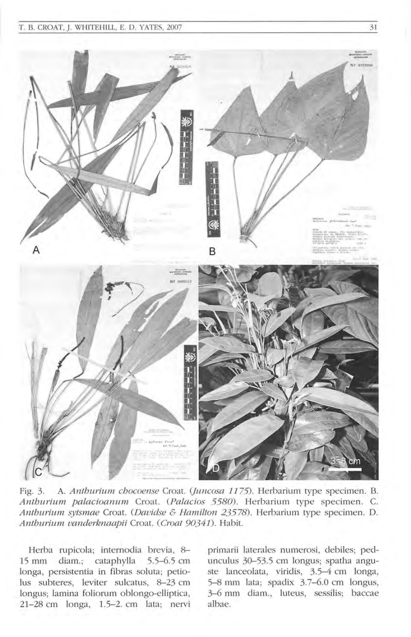### T. B. CROAT, J. WHITEHILL, E. D. YATES, 2007 31



Fig. 3. A. Anthurium chocoense Croat. (Juncosa 1175). Herbarium type specimen. B. Anthurium palacioanum Croat. (Palacios 5580). Herbarium type specimen. C. Anthurium sytsmae Croat. (Davidse & Hamilton 23578). Herbarium type specimen. D. Anthurium vanderknaapii Croat. (Croat 90341). Habit.

Herba rupicola; internodia brevia, 8-15 mm diam.; cataphylla 5.5-6.5 cm longa, persistentia in fibras soluta; petiolus subteres, leviter sulcatus, 8-23 cm longus; lamina foliorum oblongo-elliptica, 21-28 cm longa, 1.5-2. cm lata; nervi primarii laterales numerosi, debiles; pedunculus 30-53.5 cm longus; spatha anguste lanceolata, viridis, 3.5-4 cm longa, 5-8 mm lata; spadix 3.7-6.0 cm longus, 3-6 mm diam., luteus, sessilis; baccae albae.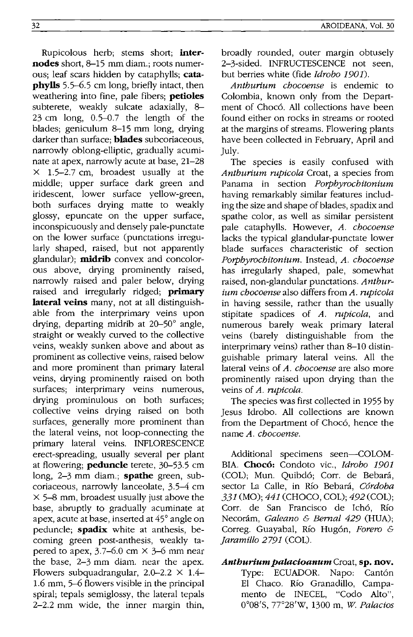Rupicolous herb; stems short; **internodes** short, 8-15 mm diam.; roots numerous; leaf scars hidden by cataphylls; **cataphylls** 5.5-6.5 cm long, briefly intact, then weathering into fine, pale fibers; **petioles**  subterete, weakly sulcate adaxially, 8- 23 cm long, 0.5-0.7 the length of the blades; geniculum 8-15 mm long, drying darker than surface; **blades** subcoriaceous, narrowly oblong-elliptic, gradually acuminate at apex, narrowly acute at base, 21-28  $\times$  1.5-2.7 cm, broadest usually at the middle; upper surface dark green and iridescent, lower surface yellow-green, both surfaces drying matte to weakly glossy, epuncate on the upper surface, inconspicuously and densely pale-punctate on the lower surface (punctations irregularly shaped, raised, but not apparently glandular); **midrib** convex and concolorous above, drying prominently raised, narrowly raised and paler below, drying raised and irregularly ridged; **primary lateral veins** many, not at all distinguishable from the interprimary veins upon drying, departing midrib at 20-50° angle, straight or weakly curved to the collective veins, weakly sunken above and about as prominent as collective veins, raised below and more prominent than primary lateral veins, drying prominently raised on both surfaces; interprimary veins numerous, drying prominulous on both surfaces; collective veins drying raised on both surfaces, generally more prominent than the lateral veins, not loop-connecting the primary lateral veins. INFLORESCENCE erect-spreading, usually several per plant at flowering; **peduncle** terete, 30-53.5 cm long, 2-3 mm diam.; **spathe** green, subcoriaceous, narrowly lanceolate, 3.5-4 cm  $\times$  5–8 mm, broadest usually just above the base, abruptly to gradually acuminate at apex, acute at base, inserted at 45° angle on peduncle; **spadix** white at anthesis, becoming green post-anthesis, weakly tapered to apex,  $3.7-6.0$  cm  $\times$  3-6 mm near the base, 2-3 mm diam. near the apex. Flowers subquadrangular,  $2.0-2.2 \times 1.4-$ 1.6 mm, 5-6 flowers visible in the principal spiral; tepals semiglossy, the lateral tepals 2-2.2 mm wide, the inner margin thin, broadly rounded, outer margin obtusely 2-3-sided. INFRUCTESCENCE not seen, but berries white (fide *Idrobo 1901).* 

*Antburium cbocoense* is endemic to Colombia, known only from the Department of Chocó. All collections have been found either on rocks in streams or rooted at the margins of streams. Flowering plants have been collected in February, April and July.

The species is easily confused with *Anthurium rupicola* Croat, a species from Panama in section *Porphyrochitonium*  having remarkably similar features including the size and shape of blades, spadix and spathe color, as well as similar persistent pale cataphylls. However, *A. chocoense*  lacks the typical glandular-punctate lower blade surfaces characteristic of section *Porpbyrochitonium.* Instead, *A. chocoense*  has irregularly shaped, pale, somewhat raised, non-glandular punctations. *Anthurium chocoense* also differs from *A. rupicola*  in having sessile, rather than the usually stipitate spadices of *A. rupicola,* and numerous barely weak primary lateral veins (barely distinguishable from the interprimary veins) rather than 8-10 distinguishable primary lateral veins. All the lateral veins of *A. chocoense* are also more prominently raised upon drying than the veins of *A. rupicola.* 

The species was first collected in 1955 by Jesus Idrobo. All collections are known from the Department of Chocó, hence the name *A. chocoense.* 

Additional specimens seen-COLOM-BIA. Chocó: Condoto vic., *Idrobo 1901* (COL); Mun. Quibdó; Corr. de Bebará, sector La Calle, in *Rio* Bebara, *Cordoba*  331 (MO); 441 (CHOCO, COL); 492 (COL); Corr. de San Francisco de leho, *Rio*  Necoram, *Galeano* & *Bernal* 429 (HUA); Correg. Guayabal, *Rio* Hugon, *Forero & Jaramillo* 2791 (COL).

## *Anthurium palacioanum* Croat, **sp. nov.**  Type: ECUADOR. Napo: Cantón El Chaco. Río Granadillo, Campamento de INECEL, "Codo Alto", 0008'S, 7r28'W, 1300 m, *W Palacios*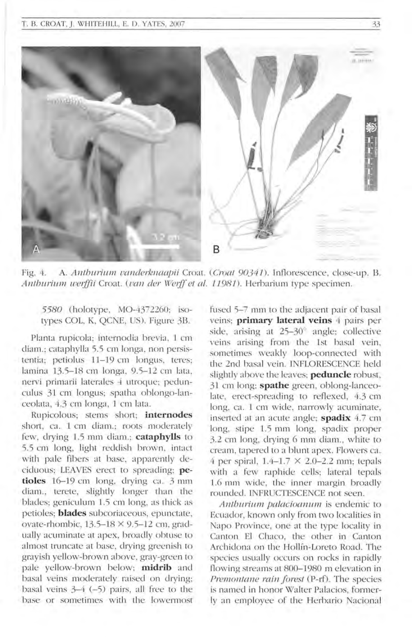

Fig. 4. A. *Anthurium vanderknaapii* Croat. (*Croat 90341*). Inflorescence, close-up. B. *Anthurium werffii Croat. (van der Werff et al. 11981).* Herbarium type specimen.

*5580* (holotype, MO-4372260; isotypes COL, K, QCNE, US). Figure 3B.

Planta rupicola; internodia brevia, 1 cm diam.; cataphylla 5.5 cm longa, non persistentia; petiolus 11-19 cm longus, teres; lamina 13.5-18 cm longa, 9.5-12 cm lata, nervi primarii laterales 4 utroque; pedunculus 31 cm longus; spatha oblongo-lanceolata, 4.3 cm longa, 1 cm lata.

Rupicolous; stems short; *internodes* short, ca. 1 cm diam.; roots moderately few, drying 1.5 mm diam.; cataphylls to 5.5 cm long, light reddish brown, intact with pale fibers at base, apparently deciduous; LEA YES erect to spreading; **petioles** 16-19 cm long, drying ca. 3 mm diam., terete, slightly longer than the blades; geniculum 1.5 cm long, as thick as petioles; **blades** subcoriaceous, epunctate, ovate-rhombic,  $13.5-18 \times 9.5-12$  cm, gradually acuminate at apex, broadly obtuse to almost truncate at base, drying greenish to grayish yellow-brown above, gray-green to pale yellow-brown below; midrib and basal veins moderately raised on drying; basal veins  $3-4$  (-5) pairs, all free to the base or sometimes 'with the lowermost

fused 5-7 mm to the adjacent pair of basal veins; **primary lateral veins** 4 pairs per side, arising at  $25-30^\circ$  angle; collective veins arising from the 1st basal vein, sometimes weakly loop-connected with the 2nd basal vein. INFLORESCENCE held slightly above the leaves; **peduncle** robust, 31 cm long; **spathe** green, oblong-Ianceolate, erect-spreading to reflexed, 4.3 cm long, ca. 1 cm wide, narrowly acuminate, inserted at an acute angle; **spadix** 4.7 cm long, stipe 1.5 mm long, spadix proper 3.2 cm long, drying 6 mm diam., white to cream, tapered to a blunt apex. Flowers ca. 4 per spiral,  $1.4-1.7 \times 2.0-2.2$  mm; tepals with a few raphide cells; lateral tepals 1.6 mm wide, the inner margin broadly rounded. INFRUCTESCENCE not seen.

*Anthurium palacioanum* is endemic to Ecuador, known only from two localities in Napo Province, one at the type locality in Canton El Chaco, the other in Canton Archidona on the Hollin-Loreto Road. The species usually occurs on rocks in rapidly flowing streams at 800-1980 m elevation in *Premon/ane rain forest* (P-rf). The species is named in honor Walter Palacios, formerly an employee of the Herbario Nacional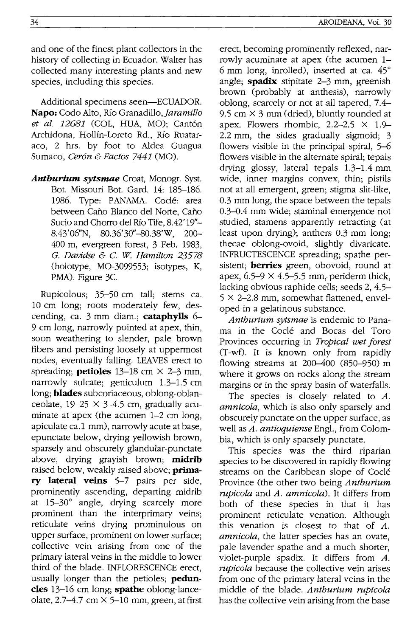and one of the finest plant collectors in the history of collecting in Ecuador. Walter has collected many interesting plants and new species, including this species.

Additional specimens seen-ECUADOR. Napo: Codo Alto, Río Granadillo, *Jaramillo et al. 12681* (COL, HUA, MO); Cantón Archidona, Hollín-Loreto Rd., Río Ruataraco, 2 hrs. by foot to Aldea Guagua Sumaco, *Ceron* & *Factos* 7441 (MO).

*Anthurium sytsmae* Croat, Monogr. Syst. Bot. Missouri Bot. Gard. 14: 185-186. 1986. Type: PANAMA. Coclé: area between Caño Blanco del Norte, Caño Sucio and Chorro del Río Tife, 8.42'19"-*8.43'06/1N, 80.36'30/l-80.38'W, 200-* 400 m, evergreen forest, 3 Feb. 1983, *G. Davidse* & c. *W Hamilton 23578*  (holotype, MO-3099553; isotypes, K, PMA). Figure 3C.

Rupicolous; 35-50 cm tall; stems ca. 10 cm long; roots moderately few, descending, ca. 3 mm diam.; **cataphylls** 6- 9 cm long, narrowly pointed at apex, thin, soon weathering to slender, pale brown fibers and persisting loosely at uppermost nodes, eventually falling. LEAVES erect to spreading; **petioles**  $13-18$  cm  $\times$  2-3 mm, narrowly sulcate; geniculum 1.3-1.5 cm long; **blades** subcoriaceous, oblong-oblanceolate,  $19-25 \times 3-4.5$  cm, gradually acuminate at apex (the acumen 1-2 cm long, apiculate ca.1 mm), narrowly acute at base, epunctate below, drying yellowish brown, sparsely and obscurely glandular-punctate above, drying grayish brown; **midrib**  raised below, weakly raised above; **primary lateral veins** 5-7 pairs per side, prominently ascending, departing midrib at 15-30° angle, drying scarcely more prominent than the interprimary veins; reticulate veins drying prominulous on upper surface, prominent on lower surface; collective vein arising from one of the primary lateral veins in the middle to lower third of the blade. INFLORESCENCE erect, usually longer than the petioles; **peduncles** 13-16 cm long; **spathe** oblong-lanceolate, 2.7-4.7 cm  $\times$  5-10 mm, green, at first

erect, becoming prominently reflexed, narrowly acuminate at apex (the acumen 1- 6 mm long, inrolled), inserted at ca. 45° angle; **spadix** stipitate 2-3 mm, greenish brown (probably at anthesis), narrowly oblong, scarcely or not at all tapered, 7.4- 9.5 cm  $\times$  3 mm (dried), bluntly rounded at apex. Flowers rhombic,  $2.2-2.5 \times 1.9$ -2.2 mm, the sides gradually sigmoid; 3 flowers visible in the principal spiral, 5-6 flowers visible in the alternate spiral; tepals drying glossy, lateral tepals 1.3-1.4 mm wide, inner margins convex, thin; pistils not at all emergent, green; stigma slit-like, 0.3 mm long, the space between the tepals 0.3-0.4 mm wide; staminal emergence not studied, stamens apparently retracting (at least upon drying); anthers 0.3 mm long; thecae oblong-ovoid, slightly divaricate. INFRUCTESCENCE spreading; spathe persistent; **berries** green, obovoid, round at apex,  $6.5-9 \times 4.5-5.5$  mm, periderm thick, lacking obvious raphide cells; seeds 2, 4.5-  $5 \times 2$ -2.8 mm, somewhat flattened, enveloped in a gelatinous substance.

*Antburium sytsmae* is endemic to Panama in the Cocle and Bocas del Toro Provinces occurring in *Tropical wet forest*  (T-wt). It is known only from rapidly flowing streams at 200-400 (850-950) m where it grows on rocks along the stream margins or in the spray basin of waterfalls.

The species is closely related to *A. amnicola,* which is also only sparsely and obscurely punctate on the upper surface, as well as *A. antioquiense* Engl., from Colombia, which is only sparsely punctate.

This species was the third riparian species to be discovered in rapidly flowing streams on the Caribbean slope of Cocle Province (the other two being *Antburium rupicola* and *A. amnicola).* It differs from both of these species in that it has prominent reticulate venation. Although this venation is closest to that of *A. am nicola,* the latter species has an ovate, pale lavender spathe and a much shorter, violet-purple spadix. It differs from A. *rupicola* because the collective vein arises from one of the primary lateral veins in the middle of the blade. *Antburium rupicola*  has the collective vein arising from the base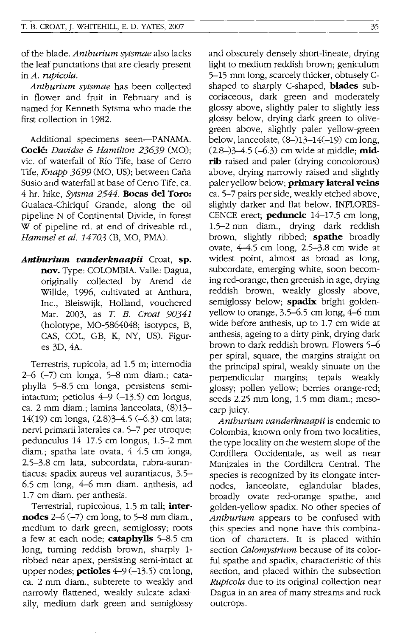of the blade. *Anthurium sytsmae* also lacks the leaf punctations that are clearly present in *A. rnpicola.* 

*Anthurium sytsmae* has been collected in flower and fruit in February and is named for Kenneth Sytsma who made the first collection in 1982.

Additional specimens seen-PANAMA. **Cocle:** *Davidse* & *Hamilton* 23639 (MO); vic. of waterfall of Rio Tife, base of Cerro Tife, *Knapp* 3699 (MO, US); between Cafia Susio and waterfall at base of Cerro Tife, ca. 4 hr. hike, *Sytsma* 2544. **Bocas del Toro:**  Gualaca-Chiriqui Grande, along the oil pipeline N of Continental Divide, in forest W of pipeline rd. at end of driveable rd., *Hammel et al. 14703* (B, MO, PMA).

*Anthurium vanderknaapii* Croat, **sp. nov.** Type: COLOMBIA. Valle: Dagua, originally collected by Arend de Willde, 1996, cultivated at Anthura, Inc., Bleiswijk, Holland, vouehered Mar. 2003, as *T B. Croat 90341*  (holotype, MO-5864048; isotypes, B, CAS, COL, GB, K, NY, US). Figures 3D, 4A.

Terrestris, rupicola, ad 1.5 m; internodia 2-6 (-7) em longa, 5-8 mm diam.; eataphylla 5-8.5 em longa, persistens semiintactum; petiolus  $4-9$  (-13.5) cm longus, ca. 2 mm diam.; lamina laneeolata, (8)13- 14(19) em longa, (2.8)3-4.5 (-6.3) em lata; nervi primarii laterales ca. 5-7 per utroque; pedunculus 14-17.5 em longus, 1.5-2 mm diam.; spatha late ovata, 4-4.5 em longa, 2.5-3.8 em lata, subcordata, rubra-aurantiaeus: spadix aureus vel aurantiacus, 3.5- 6.5 cm long, 4-6 mm diam. anthesis, ad 1.7 em diam. per anthesis.

Terrestrial, rupicolous, 1.5 m tall; **internodes** 2-6 (-7) em long, to 5-8 mm diam., medium to dark green, semiglossy; roots a few at each node; **cataphylls** 5-8.5 em long, turning reddish brown, sharply 1 ribbed near apex, persisting semi-intact at upper nodes; **petioles**  $4-9(-13.5)$  cm long, ca. 2 mm diam., subterete to weakly and narrowly flattened, weakly sulcate adaxially, medium dark green and semiglossy and obscurely densely short-lineate, drying light to medium reddish brown; geniculum 5-15 mm long, scarcely thicker, obtusely Cshaped to sharply C-shaped, **blades** subcoriaeeous, dark green and moderately glossy above, slightly paler to slightly less glossy below, drying dark green to olivegreen above, slightly paler yellow-green below, lanceolate,  $(8-)13-14(-19)$  cm long. (2.8-)3-4.5 (-6.3) em wide at middle; **mid**rib raised and paler (drying concolorous) above, drying narrowly raised and slightly paler yellow below; **primary lateral veins**  ca. 5-7 pairs per side, weakly etched above, slightly darker and flat below. INFLORES-CENCE erect; **peduncle** 14-17.5 em long, 1.5-2 mm diam., drying dark reddish brown, slightly ribbed; **spathe** broadly ovate, 4-4.5 em long, 2.5-3.8 em wide at widest point, almost as broad as long, subeordate, emerging white, soon becoming red-orange, then greenish in age, drying reddish brown, weakly glossly above, semiglossy below; **spadix** bright goldenyellow to orange, 3.5-6.5 em long, 4-6 mm wide before anthesis, up to 1.7 em wide at anthesis, ageing to a dirty pink, drying dark brown to dark reddish brown. Flowers 5-6 per spiral, square, the margins straight on the principal spiral, weakly sinuate on the perpendicular margins; tepals weakly glossy; pollen yellow; berries orange-red; seeds 2.25 mm long, 1.5 mm diam.; mesocarp juicy.

*Anthurium vanderknaapii* is endemic to Colombia, known only from two localities, the type locality on the western slope of the Cordillera Occidentale, as well as near Manizales in the Cordillera Central. The species is recognized by its elongate internodes, lanceolate, eglandular blades, broadly ovate red-orange spathe, and golden-yellow spadix. No other species of *Anthurium* appears to be confused with this species and none have this combination of characters. It is placed within section *Calomystrium* because of its colorful spathe and spadix, characteristic of this section, and placed within the subsection *Rupicola* due to its original collection near Dagua in an area of many streams and rock outcrops.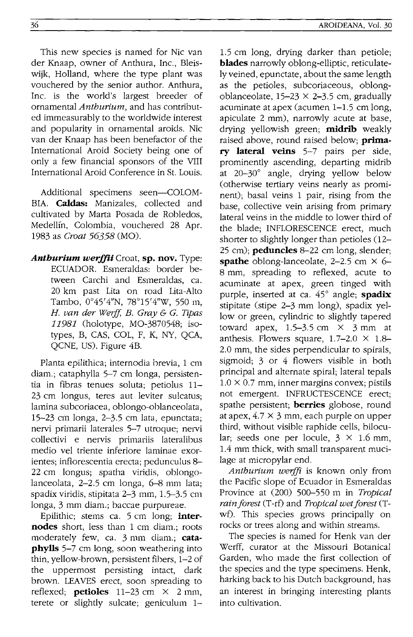This new species is named for Nic van der Knaap, owner of Anthura, Inc., Bleiswijk, Holland, where the type plant was vouchered by the senior author. Anthura, Inc. is the world's largest breeder of ornamental *Anthurium,* and has contributed immeasurably to the worldwide interest and popularity in ornamental aroids. Nic van der Knaap has been benefactor of the International Aroid Society being one of only a few financial sponsors of the VIII International Aroid Conference in St. Louis.

Additional specimens seen-COLOM-BIA. **Caldas:** Manizales, collected and cultivated by Marta Posada de Robledos, Medellfn, Colombia, vouchered 28 Apr. 1983 as *Croat* 56358 (MO).

*Anthurium werffii* Croat, sp. nov. Type: ECUADOR. Esmeraldas: border between Carchi and Esmeraldas, ca. 20 km past Lita on road Lita-Alto Tambo, 0°45'4"N, 78°15'4"W, 550 m, *H. van der Werff, B. Gray & G. Tipas* 11981 (holotype, MO-3870548; isotypes, B, CAS, COL, F, K, NY, QCA, QCNE, US). Figure 4B.

Planta epilithica; internodia brevia, 1 cm diam.; cataphylla 5-7 cm longa, persistentia in fibras tenues soluta; petiolus 11- 23 cm longus, teres aut leviter sulcatus; lamina subcoriacea, oblongo-oblanceolata, 15-23 cm longa, 2-3.5 cm lata, epunctata; nervi primarii laterales 5-7 utroque; nervi collectivi e nervis primariis lateralibus medio vel triente inferiore laminae exorientes; inflorescentia erecta; pedunculus 8- 22 cm longus; spatha viridis, oblongolanceolata,  $2-2.5$  cm longa,  $6-8$  mm lata; spadix viridis, stipitata 2-3 mm, 1.5-3.5 cm longa, 3 mm diam.; baccae purpureae.

Epilithic; stems ca. 5 cm long; **internodes** short, less than 1 cm diam.; roots moderately few, ca. 3 mm diam.; cata**phylls** 5-7 cm long, soon weathering into thin, yellow-brown, persistent fibers, 1-2 of the uppermost persisting intact, dark brown. LEAVES erect, soon spreading to reflexed; **petioles**  $11-23$  cm  $\times$  2 mm, terete or slightly sulcate; geniculum 1-

1.5 cm long, drying darker than petiole; **blades** narrowly oblong-elliptic, reticulately veined, epunctate, about the same length as the petioles, subcoriaceous, oblongoblanceolate,  $15-23 \times 2-3.5$  cm, gradually acuminate at apex (acumen 1-1.5 cm long, apiculate 2 mm), narrowly acute at base, drying yellowish green; **midrib** weakly raised above, round raised below; **prima**ry **lateral veins** 5-7 pairs per side, prominently ascending, departing midrib at 20-30° angle, drying yellow below (otherwise tertiary veins nearly as prominent); basal veins 1 pair, rising from the base, collective vein arising from primary lateral veins in the middle to lower third of the blade; INFLORESCENCE erect, much shorter to slightly longer than petioles  $(12-$ 25 cm); **peduncles** 8-22 cm long, slender; **spathe** oblong-lanceolate,  $2-2.5$  cm  $\times$  6-8 mm, spreading to reflexed, acute to acuminate at apex, green tinged with purple, inserted at ca. 45° angle; **spadix**  stipitate (stipe 2-3 mm long), spadix yellow or green, cylindric to slightly tapered toward apex,  $1.5-3.5$  cm  $\times$  3 mm at anthesis. Flowers square,  $1.7-2.0 \times 1.8$ -2.0 mm, the sides perpendicular to spirals, sigmoid: 3 or 4 flowers visible in both principal and alternate spiral; lateral tepals  $1.0 \times 0.7$  mm, inner margins convex; pistils not emergent. INFRUCTESCENCE erect; spathe persistent; **berries** globose, round at apex,  $4.7 \times 3$  mm, each purple on upper third, without visible raphide cells, bilocular; seeds one per locule,  $3 \times 1.6$  mm, 1.4 mm thick, with small transparent mucilage at micropylar end.

*Anthuriu111 werjfi* is known only from the Pacific slope of Ecuador in Esmeraldas Province at (200) 500-550 m in *Tropical rain forest* (T-rf) and *Tropical wet forest* (Twf). This species grows principally on rocks or trees along and within streams.

The species is named for Henk van der Werff, curator at the Missouri Botanical Garden, who made the first collection of the species and the type specimens. Henk, harking back to his Dutch background, has an interest in bringing interesting plants into cultivation.